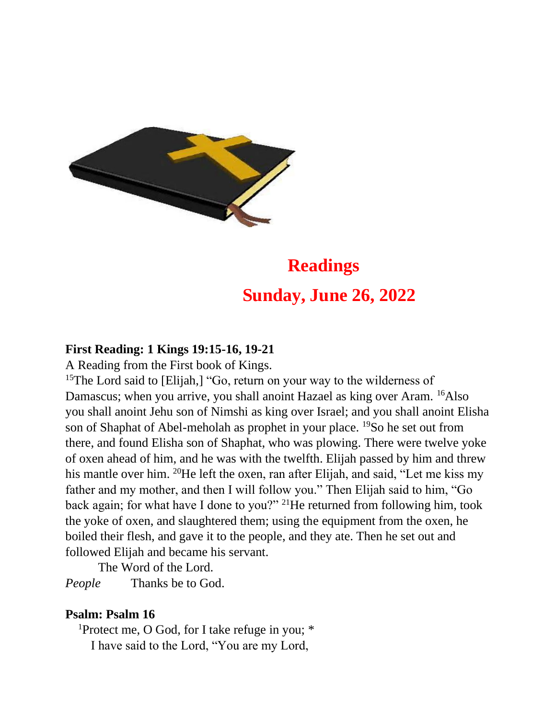

## **Readings Sunday, June 26, 2022**

## **First Reading: 1 Kings 19:15-16, 19-21**

A Reading from the First book of Kings.

<sup>15</sup>The Lord said to [Elijah,] "Go, return on your way to the wilderness of Damascus; when you arrive, you shall anoint Hazael as king over Aram. <sup>16</sup>Also you shall anoint Jehu son of Nimshi as king over Israel; and you shall anoint Elisha son of Shaphat of Abel-meholah as prophet in your place. <sup>19</sup>So he set out from there, and found Elisha son of Shaphat, who was plowing. There were twelve yoke of oxen ahead of him, and he was with the twelfth. Elijah passed by him and threw his mantle over him. <sup>20</sup>He left the oxen, ran after Elijah, and said, "Let me kiss my father and my mother, and then I will follow you." Then Elijah said to him, "Go back again; for what have I done to you?" <sup>21</sup>He returned from following him, took the yoke of oxen, and slaughtered them; using the equipment from the oxen, he boiled their flesh, and gave it to the people, and they ate. Then he set out and followed Elijah and became his servant.

The Word of the Lord.

*People* Thanks be to God.

## **Psalm: Psalm 16**

<sup>1</sup>Protect me, O God, for I take refuge in you;  $*$ I have said to the Lord, "You are my Lord,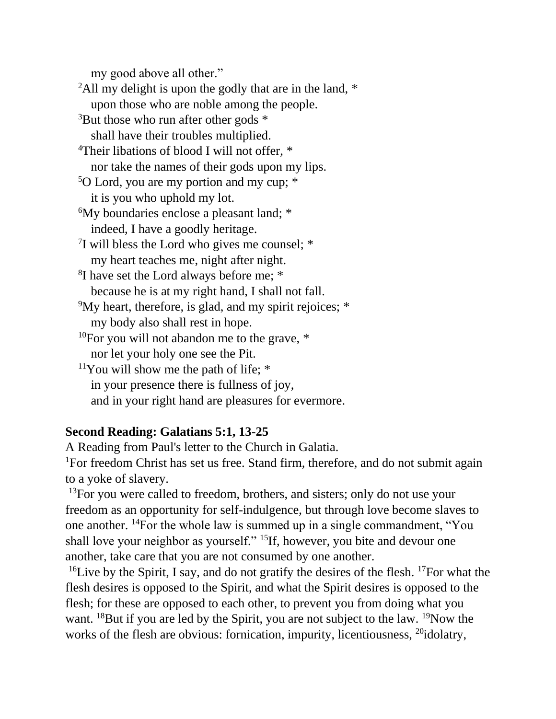my good above all other."

<sup>2</sup>All my delight is upon the godly that are in the land,  $*$ upon those who are noble among the people.  $3$ But those who run after other gods  $*$ shall have their troubles multiplied. <sup>4</sup>Their libations of blood I will not offer,  $*$ nor take the names of their gods upon my lips. <sup>5</sup>O Lord, you are my portion and my cup; \* it is you who uphold my lot. <sup>6</sup>My boundaries enclose a pleasant land; \* indeed, I have a goodly heritage.  $7$ I will bless the Lord who gives me counsel;  $*$ my heart teaches me, night after night. <sup>8</sup>I have set the Lord always before me; \* because he is at my right hand, I shall not fall. <sup>9</sup>My heart, therefore, is glad, and my spirit rejoices; \* my body also shall rest in hope. <sup>10</sup>For you will not abandon me to the grave,  $*$ nor let your holy one see the Pit.  $11$ You will show me the path of life;  $*$ in your presence there is fullness of joy, and in your right hand are pleasures for evermore.

## **Second Reading: Galatians 5:1, 13-25**

A Reading from Paul's letter to the Church in Galatia.

<sup>1</sup>For freedom Christ has set us free. Stand firm, therefore, and do not submit again to a yoke of slavery.

 $13$ For you were called to freedom, brothers, and sisters; only do not use your freedom as an opportunity for self-indulgence, but through love become slaves to one another. <sup>14</sup>For the whole law is summed up in a single commandment, "You shall love your neighbor as yourself." <sup>15</sup>If, however, you bite and devour one another, take care that you are not consumed by one another.

<sup>16</sup>Live by the Spirit, I say, and do not gratify the desires of the flesh. <sup>17</sup>For what the flesh desires is opposed to the Spirit, and what the Spirit desires is opposed to the flesh; for these are opposed to each other, to prevent you from doing what you want. <sup>18</sup>But if you are led by the Spirit, you are not subject to the law. <sup>19</sup>Now the works of the flesh are obvious: fornication, impurity, licentiousness, <sup>20</sup>idolatry,